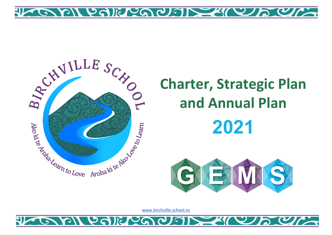



# **Charter, Strategic Plan and Annual Plan 2021**



[www.birchville.school.nz](http://www.birchville.school.nz/)

#### <u> ଅଧିକ</u>  $\blacksquare$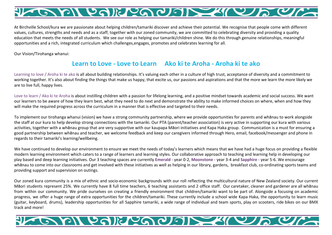

At Birchville School/kura we are passionate about helping children/tamariki discover and achieve their potential. We recognise that people come with different values, cultures, strengths and needs and as a staff, together with our zoned community, we are committed to celebrating diversity and providing a quality education that meets the needs of all students. We see our role as helping our tamariki/children shine. We do this through genuine relationships, meaningful opportunities and a rich, integrated curriculum which challenges,engages, promotes and celebrates learning for all.

Our Vision/Tirohanga whanui:

#### **Learn to Love - Love to Learn Ako ki te Aroha - Aroha ki te ako**

Learning to love / Aroha ki te ako is all about building relationships. It's valuing each other in a culture of high trust, acceptance of diversity and a commitment to working together. It's also about finding the things that make us happy, that excite us, our passions and aspirations and that the more we learn the more likely we are to live full, happy lives.

Love to learn / Ako ki te Aroha is about instilling children with a passion for lifelong learning, and a positive mindset towards academic and social success. We want our learners to be aware of how they learn best, what they need to do next and demonstrate the ability to make informed choices on where, when and how they will make the required progress across the curriculum in a manner that is effective and targeted to their needs.

To implement our tirohanga whanui (vision) we have a strong community partnership, where we provide opportunities for parents and whānau to work alongside the staff at our kura to help develop strong connections with the tamariki. Our PTA (parent/teacher association) is very active in supporting our kura with various activities, together with a whānau group that are very supportive with our kaupapa Māori initiatives and Kapa Haka group. Communication is a must for ensuring a good partnership between whānau and teacher, we welcome feedback and keep our caregivers informed through Hero, email, facebook/messenger and phone in regards to their tamariki's learning/wellbeing.

We have continued to develop our environment to ensure we meet the needs of today's learners which means that we have had a huge focus on providing a flexible modern learning environment which caters to a range of learners and learning styles. Our collaborative approach to teaching and learning help in developing our play based and deep learning initiatives. Our 3 teaching spaces are currently **Emerald** - year 0-2, **Moonstone** - year 3-4 and **Sapphire** - year 5-6. We encourage whānau to come into our classrooms and get involved with these initiatives as well as helping in our library, gardens, breakfast club, co-ordinating sports teams and providing support and supervision on outings.

Our zoned kura community is a mix of ethnic and socio-economic backgrounds with our roll reflecting the multicultural nature of New Zealand society. Our current Māori students represent 25%. We currently have 8 full time teachers, 6 teaching assistants and 2 office staff. Our caretaker, cleaner and gardener are all whānau from within our community. We pride ourselves on creating a friendly environment that children/tamariki want to be part of. Alongside a focusing on academic progress, we offer a huge range of extra opportunities for the children/tamariki. These currently include a school wide Kapa Haka, the opportunity to learn music (guitar, keyboard, drums), leadership opportunities for all Sapphire tamariki, a wide range of individual and team sports, play on scooters, ride bikes on our BMX track and more!

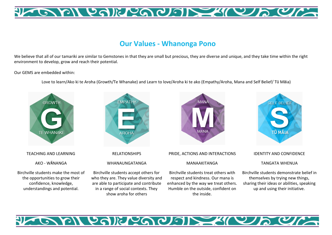

#### **Our Values - Whanonga Pono**

We believe that all of our tamariki are similar to Gemstones in that they are small but precious, they are diverse and unique, and they take time within the right environment to develop, grow and reach their potential.

Our GEMS are embedded within:

Love to learn/Ako ki te Aroha (Growth/Te Whanake) and Learn to love/Aroha ki te ako (Empathy/Aroha, Mana and Self Belief/ Tū Māia)